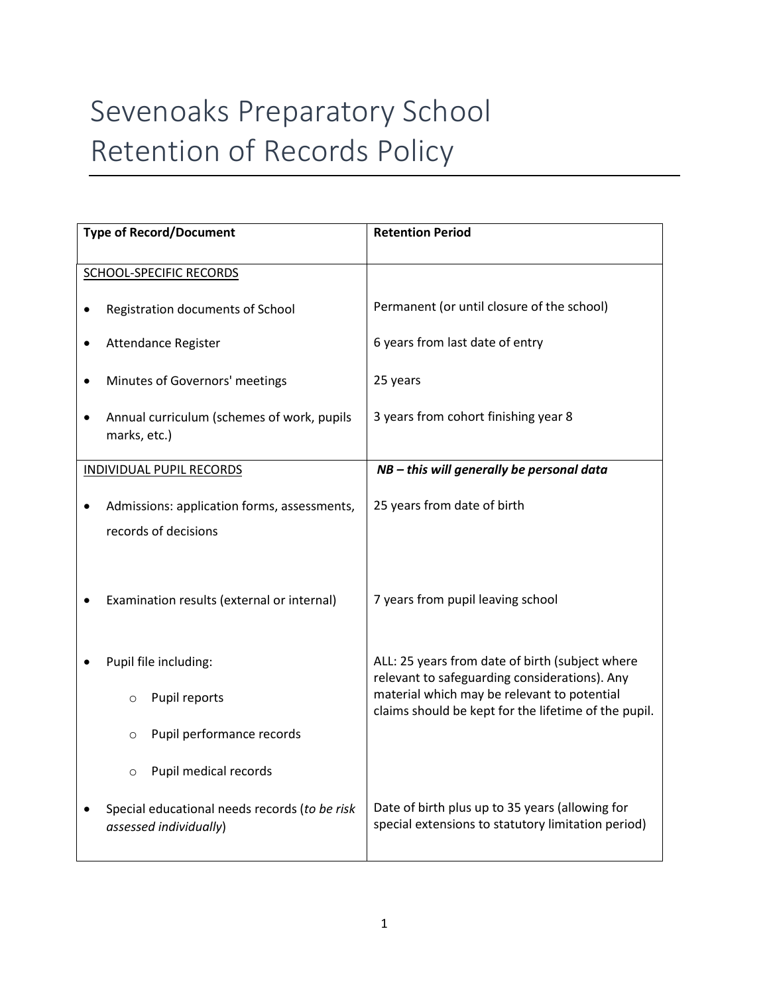## Sevenoaks Preparatory School Retention of Records Policy

| <b>Type of Record/Document</b>  |                                                                         | <b>Retention Period</b>                                                                               |
|---------------------------------|-------------------------------------------------------------------------|-------------------------------------------------------------------------------------------------------|
|                                 | <b>SCHOOL-SPECIFIC RECORDS</b>                                          |                                                                                                       |
|                                 | Registration documents of School                                        | Permanent (or until closure of the school)                                                            |
| ٠                               | Attendance Register                                                     | 6 years from last date of entry                                                                       |
|                                 | Minutes of Governors' meetings                                          | 25 years                                                                                              |
|                                 | Annual curriculum (schemes of work, pupils<br>marks, etc.)              | 3 years from cohort finishing year 8                                                                  |
| <b>INDIVIDUAL PUPIL RECORDS</b> |                                                                         | NB - this will generally be personal data                                                             |
|                                 | Admissions: application forms, assessments,<br>records of decisions     | 25 years from date of birth                                                                           |
|                                 | Examination results (external or internal)                              | 7 years from pupil leaving school                                                                     |
|                                 |                                                                         |                                                                                                       |
|                                 | Pupil file including:                                                   | ALL: 25 years from date of birth (subject where<br>relevant to safeguarding considerations). Any      |
|                                 | Pupil reports<br>$\circ$                                                | material which may be relevant to potential<br>claims should be kept for the lifetime of the pupil.   |
|                                 | Pupil performance records<br>$\circ$                                    |                                                                                                       |
|                                 | Pupil medical records<br>$\circ$                                        |                                                                                                       |
|                                 | Special educational needs records (to be risk<br>assessed individually) | Date of birth plus up to 35 years (allowing for<br>special extensions to statutory limitation period) |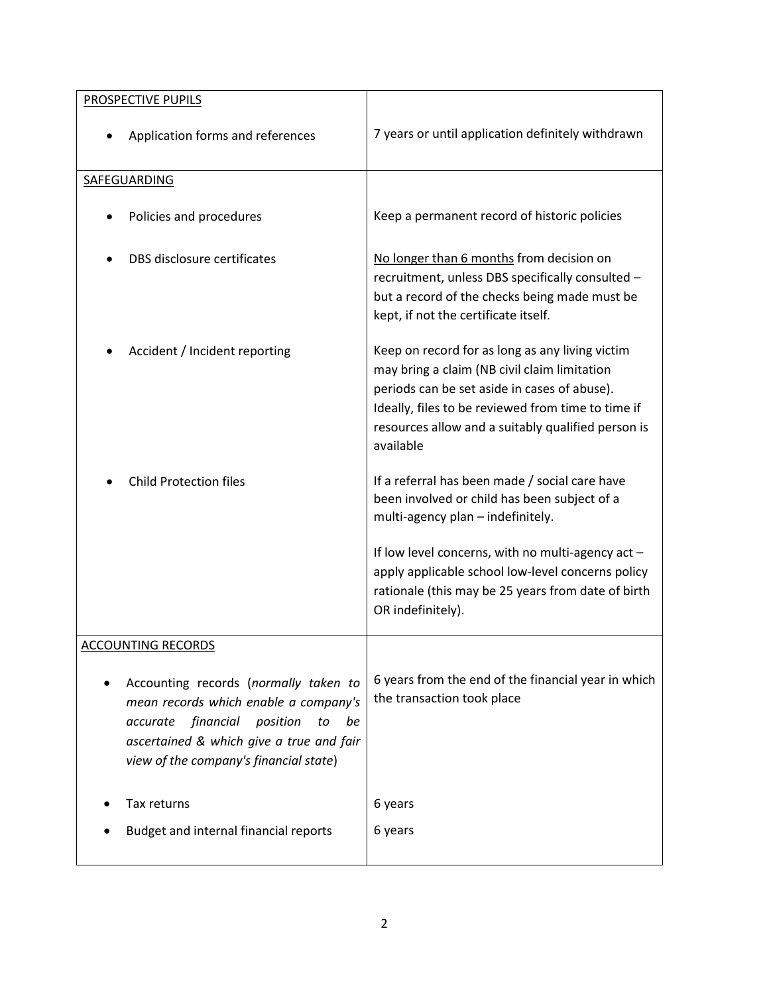| <b>PROSPECTIVE PUPILS</b>                                                                                                                                                                                             |                                                                                                                                                                                                                                                                          |
|-----------------------------------------------------------------------------------------------------------------------------------------------------------------------------------------------------------------------|--------------------------------------------------------------------------------------------------------------------------------------------------------------------------------------------------------------------------------------------------------------------------|
| Application forms and references                                                                                                                                                                                      | 7 years or until application definitely withdrawn                                                                                                                                                                                                                        |
| SAFEGUARDING                                                                                                                                                                                                          |                                                                                                                                                                                                                                                                          |
| Policies and procedures                                                                                                                                                                                               | Keep a permanent record of historic policies                                                                                                                                                                                                                             |
| DBS disclosure certificates                                                                                                                                                                                           | No longer than 6 months from decision on<br>recruitment, unless DBS specifically consulted -<br>but a record of the checks being made must be<br>kept, if not the certificate itself.                                                                                    |
| Accident / Incident reporting                                                                                                                                                                                         | Keep on record for as long as any living victim<br>may bring a claim (NB civil claim limitation<br>periods can be set aside in cases of abuse).<br>Ideally, files to be reviewed from time to time if<br>resources allow and a suitably qualified person is<br>available |
| <b>Child Protection files</b>                                                                                                                                                                                         | If a referral has been made / social care have<br>been involved or child has been subject of a<br>multi-agency plan - indefinitely.                                                                                                                                      |
|                                                                                                                                                                                                                       | If low level concerns, with no multi-agency act -<br>apply applicable school low-level concerns policy<br>rationale (this may be 25 years from date of birth<br>OR indefinitely).                                                                                        |
| <b>ACCOUNTING RECORDS</b>                                                                                                                                                                                             |                                                                                                                                                                                                                                                                          |
| Accounting records (normally taken to<br>mean records which enable a company's<br>financial<br>accurate<br>position<br>be<br>to<br>ascertained & which give a true and fair<br>view of the company's financial state) | 6 years from the end of the financial year in which<br>the transaction took place                                                                                                                                                                                        |
| Tax returns                                                                                                                                                                                                           | 6 years                                                                                                                                                                                                                                                                  |
| Budget and internal financial reports                                                                                                                                                                                 | 6 years                                                                                                                                                                                                                                                                  |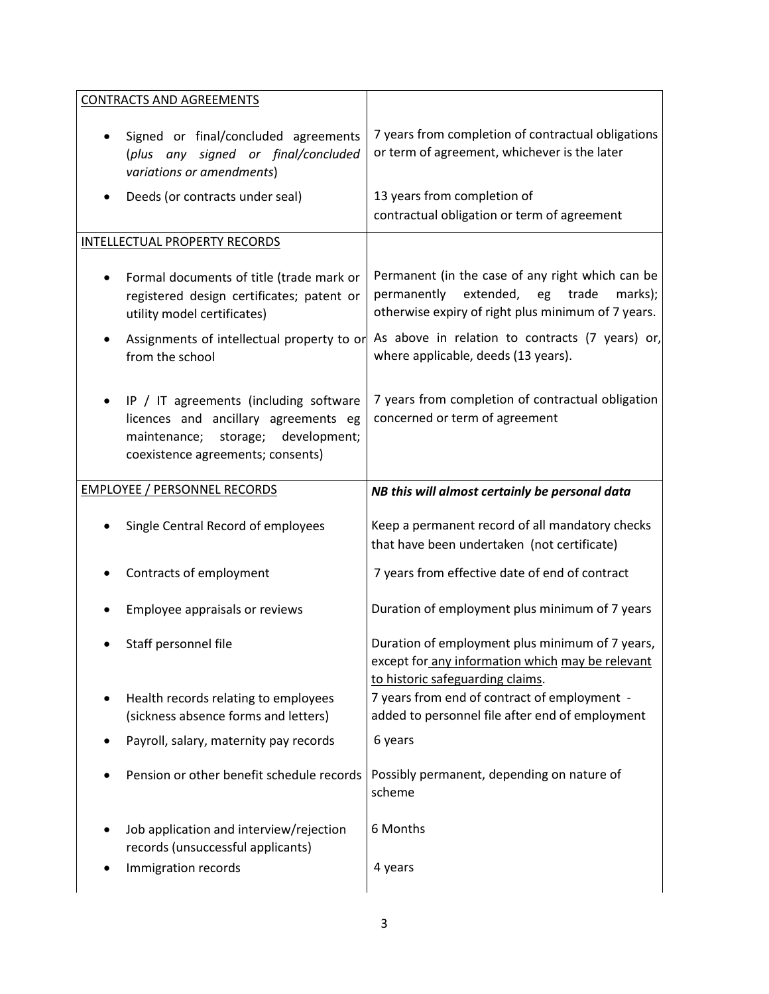| <b>CONTRACTS AND AGREEMENTS</b>                                                                                                                                              |                                                                                                                                                              |
|------------------------------------------------------------------------------------------------------------------------------------------------------------------------------|--------------------------------------------------------------------------------------------------------------------------------------------------------------|
| Signed or final/concluded agreements<br>$\bullet$<br>(plus any signed or final/concluded<br>variations or amendments)                                                        | 7 years from completion of contractual obligations<br>or term of agreement, whichever is the later                                                           |
| Deeds (or contracts under seal)<br>٠                                                                                                                                         | 13 years from completion of<br>contractual obligation or term of agreement                                                                                   |
| INTELLECTUAL PROPERTY RECORDS                                                                                                                                                |                                                                                                                                                              |
| Formal documents of title (trade mark or<br>$\bullet$<br>registered design certificates; patent or<br>utility model certificates)                                            | Permanent (in the case of any right which can be<br>extended,<br>permanently<br>eg<br>trade<br>marks);<br>otherwise expiry of right plus minimum of 7 years. |
| Assignments of intellectual property to or<br>$\bullet$<br>from the school                                                                                                   | As above in relation to contracts (7 years) or,<br>where applicable, deeds (13 years).                                                                       |
| IP / IT agreements (including software<br>$\bullet$<br>licences and ancillary agreements eg<br>storage;<br>development;<br>maintenance;<br>coexistence agreements; consents) | 7 years from completion of contractual obligation<br>concerned or term of agreement                                                                          |
| <b>EMPLOYEE / PERSONNEL RECORDS</b>                                                                                                                                          | NB this will almost certainly be personal data                                                                                                               |
| Single Central Record of employees                                                                                                                                           | Keep a permanent record of all mandatory checks<br>that have been undertaken (not certificate)                                                               |
| Contracts of employment                                                                                                                                                      | 7 years from effective date of end of contract                                                                                                               |
| Employee appraisals or reviews                                                                                                                                               | Duration of employment plus minimum of 7 years                                                                                                               |
| Staff personnel file                                                                                                                                                         | Duration of employment plus minimum of 7 years,<br>except for any information which may be relevant<br>to historic safeguarding claims.                      |
| Health records relating to employees<br>٠<br>(sickness absence forms and letters)                                                                                            | 7 years from end of contract of employment -<br>added to personnel file after end of employment                                                              |
| Payroll, salary, maternity pay records                                                                                                                                       | 6 years                                                                                                                                                      |
| Pension or other benefit schedule records                                                                                                                                    | Possibly permanent, depending on nature of<br>scheme                                                                                                         |
|                                                                                                                                                                              |                                                                                                                                                              |
| Job application and interview/rejection<br>records (unsuccessful applicants)                                                                                                 | 6 Months                                                                                                                                                     |